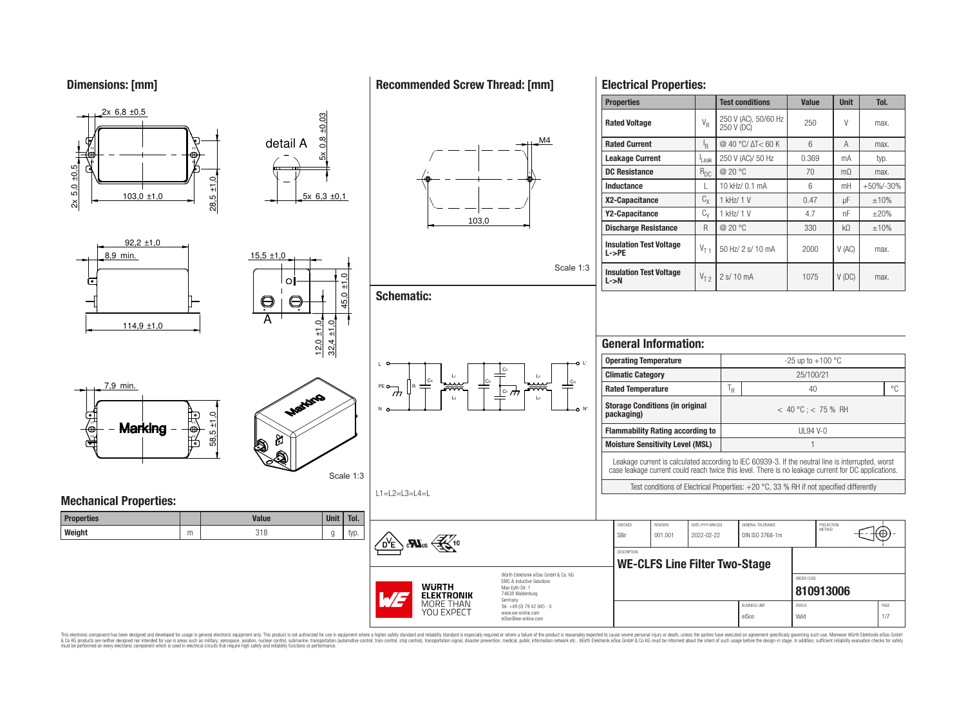**Dimensions: [mm]**

## **Recommended Screw Thread: [mm]**

**Electrical Properties:**

eiSos Valid 1/7



This electronic component has been designed and developed for usage in general electronic equipment only. This product is not authorized for use in equipment where a higher safety standard and reliability standard is espec & Ook product a label and the membed of the seasuch as marked and as which such a membed and the such assume that income in the seasuch and the simulation and the such assume that include to the such a membed and the such

eiSos@we-online.com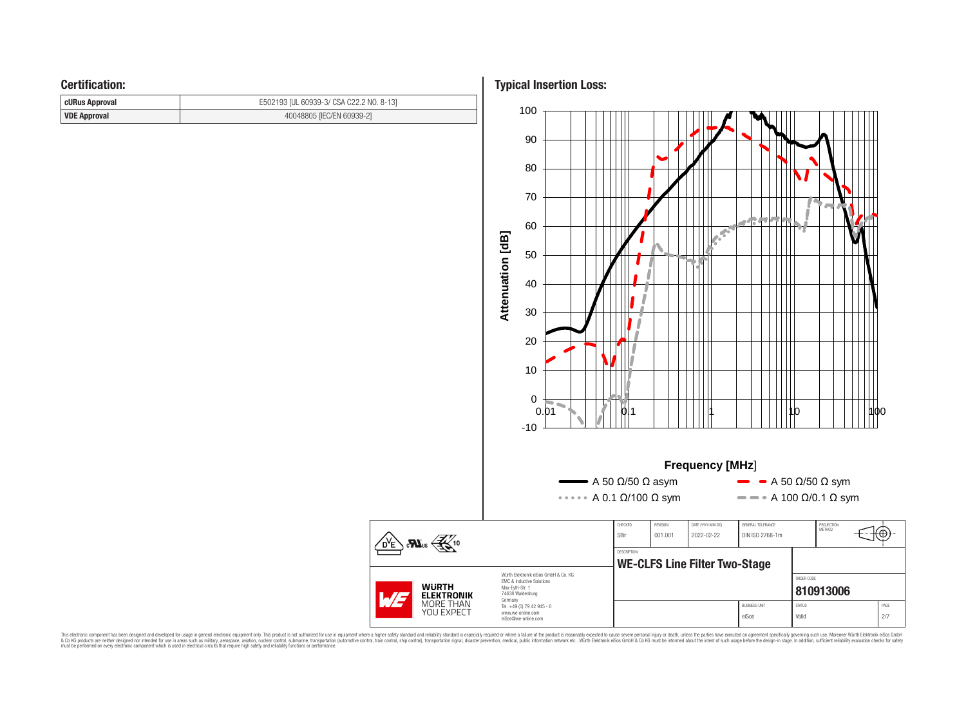## **Certification:**

| <b>cURus Approval</b> | E502193 [UL 60939-3/ CSA C22.2 NO. 8-13] |
|-----------------------|------------------------------------------|
| VDE Approval          | 40048805 [IEC/EN 60939-2]                |

**Typical Insertion Loss:**



This electronic component has been designed and developed for usage in general electronic equipment only. This product is not authorized for subserved requipment where a higher selection equipment where a higher selection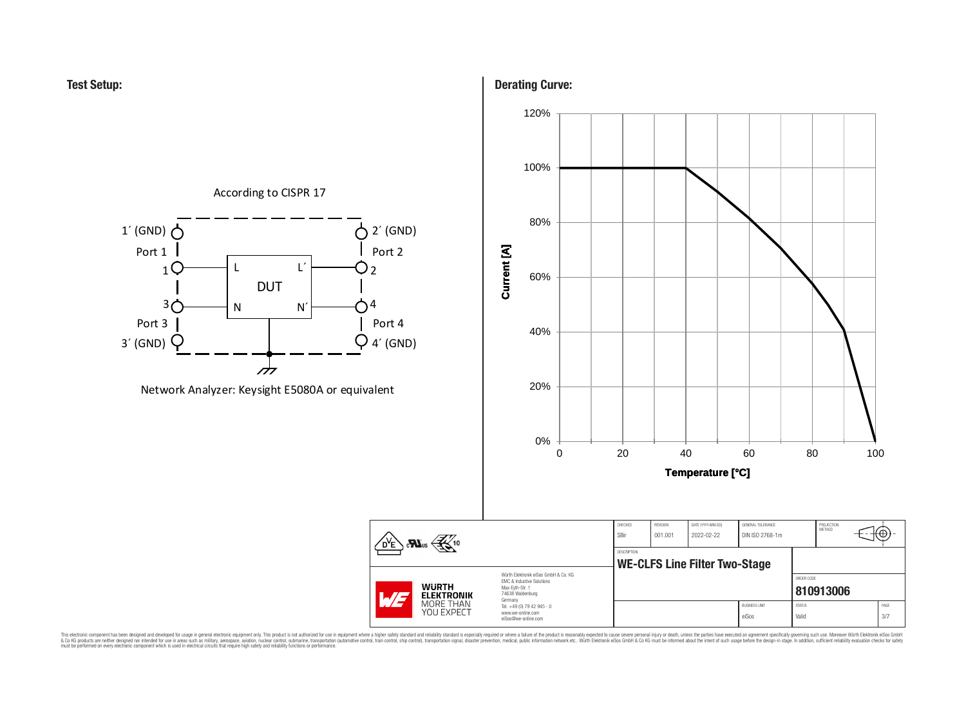**Test Setup:**



## **Derating Curve:**



This electronic component has been designed and developed for usage in general electronic equipment only. This product is not authorized for subserved requipment where a higher selection equipment where a higher selection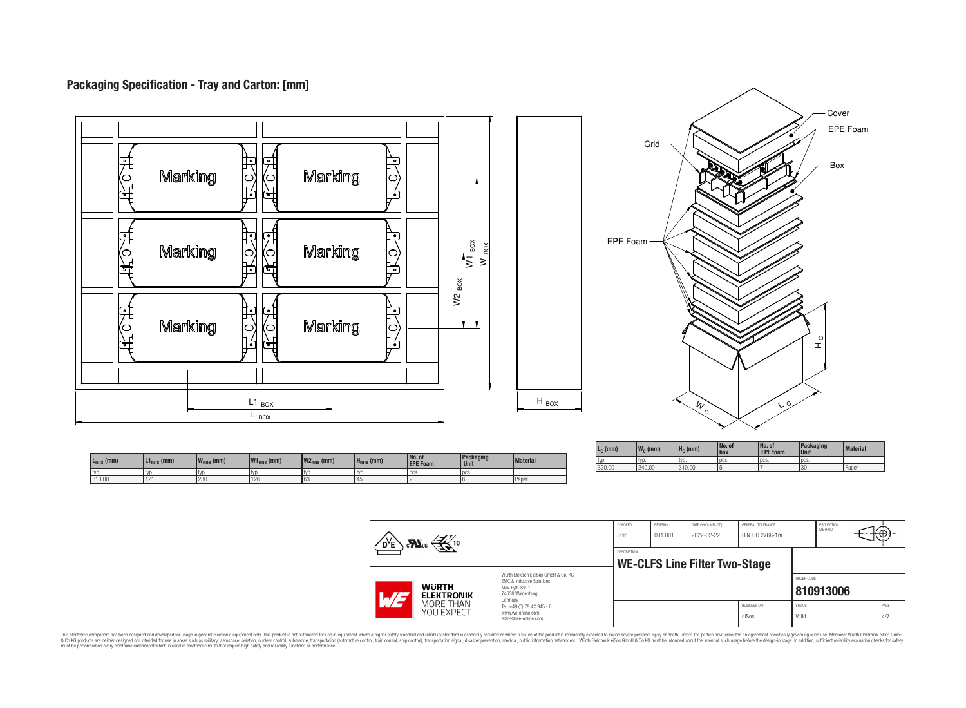# **Packaging Specification - Tray and Carton: [mm]**



This electronic component has been designed and developed for usage in general electronic equipment only. This product is not authorized for use in equipment where a higher safely standard and reliability standard si espec & Ook product a label and the membed of the seasuch as marked and as which such a membed and the such assume that income in the seasuch and the simulation and the such assume that include to the such a membed and the such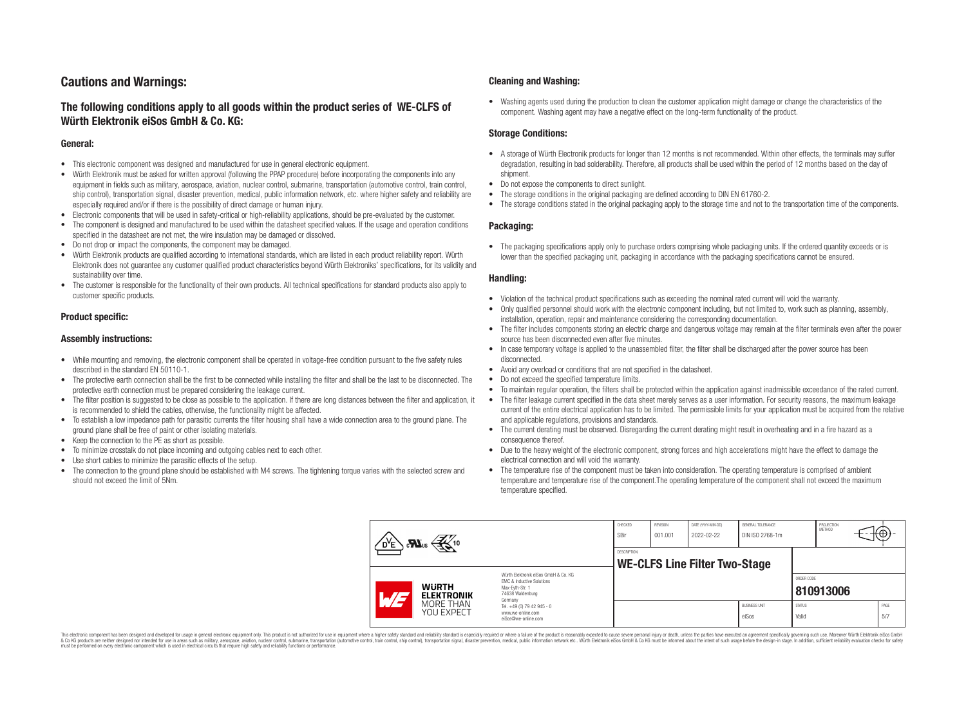# **Cautions and Warnings:**

## **The following conditions apply to all goods within the product series of WE-CLFS of Würth Elektronik eiSos GmbH & Co. KG:**

### **General:**

- This electronic component was designed and manufactured for use in general electronic equipment.
- Würth Elektronik must be asked for written approval (following the PPAP procedure) before incorporating the components into any equipment in fields such as military, aerospace, aviation, nuclear control, submarine, transportation (automotive control, train control, ship control), transportation signal, disaster prevention, medical, public information network, etc. where higher safety and reliability are especially required and/or if there is the possibility of direct damage or human injury.
- Electronic components that will be used in safety-critical or high-reliability applications, should be pre-evaluated by the customer.
- The component is designed and manufactured to be used within the datasheet specified values. If the usage and operation conditions specified in the datasheet are not met, the wire insulation may be damaged or dissolved.
- Do not drop or impact the components, the component may be damaged.
- Würth Elektronik products are qualified according to international standards, which are listed in each product reliability report. Würth Elektronik does not guarantee any customer qualified product characteristics beyond Würth Elektroniks' specifications, for its validity and sustainability over time.
- The customer is responsible for the functionality of their own products. All technical specifications for standard products also apply to customer specific products.

## **Product specific:**

#### **Assembly instructions:**

- While mounting and removing, the electronic component shall be operated in voltage-free condition pursuant to the five safety rules described in the standard EN 50110-1.
- The protective earth connection shall be the first to be connected while installing the filter and shall be the last to be disconnected. The protective earth connection must be prepared considering the leakage current.
- The filter position is suggested to be close as possible to the application. If there are long distances between the filter and application, it is recommended to shield the cables, otherwise, the functionality might be affected.
- To establish a low impedance path for parasitic currents the filter housing shall have a wide connection area to the ground plane. The ground plane shall be free of paint or other isolating materials.
- Keep the connection to the PE as short as possible.
- To minimize crosstalk do not place incoming and outgoing cables next to each other.
- Use short cables to minimize the parasitic effects of the setup.
- The connection to the ground plane should be established with M4 screws. The tightening torque varies with the selected screw and should not exceed the limit of 5Nm.

### **Cleaning and Washing:**

• Washing agents used during the production to clean the customer application might damage or change the characteristics of the component. Washing agent may have a negative effect on the long-term functionality of the product.

### **Storage Conditions:**

- A storage of Würth Electronik products for longer than 12 months is not recommended. Within other effects, the terminals may suffer degradation, resulting in bad solderability. Therefore, all products shall be used within the period of 12 months based on the day of shipment.
- Do not expose the components to direct sunlight.
- The storage conditions in the original packaging are defined according to DIN EN 61760-2.
- The storage conditions stated in the original packaging apply to the storage time and not to the transportation time of the components.

## **Packaging:**

• The packaging specifications apply only to purchase orders comprising whole packaging units. If the ordered quantity exceeds or is lower than the specified packaging unit, packaging in accordance with the packaging specifications cannot be ensured.

### **Handling:**

- Violation of the technical product specifications such as exceeding the nominal rated current will void the warranty.
- Only qualified personnel should work with the electronic component including, but not limited to, work such as planning, assembly, installation, operation, repair and maintenance considering the corresponding documentation.
- The filter includes components storing an electric charge and dangerous voltage may remain at the filter terminals even after the power source has been disconnected even after five minutes.
- In case temporary voltage is applied to the unassembled filter, the filter shall be discharged after the power source has been disconnected.
- Avoid any overload or conditions that are not specified in the datasheet.
- Do not exceed the specified temperature limits.
- To maintain regular operation, the filters shall be protected within the application against inadmissible exceedance of the rated current.
- The filter leakage current specified in the data sheet merely serves as a user information. For security reasons, the maximum leakage current of the entire electrical application has to be limited. The permissible limits for your application must be acquired from the relative and applicable regulations, provisions and standards.
- The current derating must be observed. Disregarding the current derating might result in overheating and in a fire hazard as a consequence thereof.
- Due to the heavy weight of the electronic component, strong forces and high accelerations might have the effect to damage the electrical connection and will void the warranty.
- The temperature rise of the component must be taken into consideration. The operating temperature is comprised of ambient temperature and temperature rise of the component.The operating temperature of the component shall not exceed the maximum temperature specified.

| $\mathcal{Z}$ 10<br>$c$ <b>N</b> <sub>us</sub><br>D <sup>y</sup> e |  | CHECKED<br>SBir                                                                                                                                                                               | <b>REVISION</b><br>001.001 | DATE (YYYY-MM-DD)<br>2022-02-22 | GENERAL TOLERANCE<br>DIN ISO 2768-1m |                        | PROJECTION<br>METHOD |              |  |
|--------------------------------------------------------------------|--|-----------------------------------------------------------------------------------------------------------------------------------------------------------------------------------------------|----------------------------|---------------------------------|--------------------------------------|------------------------|----------------------|--------------|--|
|                                                                    |  | <b>DESCRIPTION</b><br><b>WE-CLFS Line Filter Two-Stage</b>                                                                                                                                    |                            |                                 |                                      |                        |                      |              |  |
| <b>WURTH</b><br><b>ELEKTRONIK</b><br>L/E                           |  | Würth Elektronik eiSos GmbH & Co. KG<br>EMC & Inductive Solutions<br>Max-Evth-Str. 1<br>74638 Waldenburg<br>Germany<br>Tel. +49 (0) 79 42 945 - 0<br>www.we-online.com<br>eiSos@we-online.com |                            |                                 |                                      |                        | ORDER CODE           | 810913006    |  |
| MORE THAN<br><b>YOU EXPECT</b>                                     |  |                                                                                                                                                                                               |                            |                                 | <b>BUSINESS UNIT</b><br>eiSos        | <b>STATUS</b><br>Valid |                      | PAGE<br>.5/7 |  |

This electronic component has been designed and developed for usage in general electronic equipment only. This product is not authorized for use in equipment where a higher safety standard and reliability standard si espec & Ook product a label and the membed of the seasuch as marked and as which such a membed and the such assume that income in the seasuch and the simulation and the such assume that include to the such a membed and the such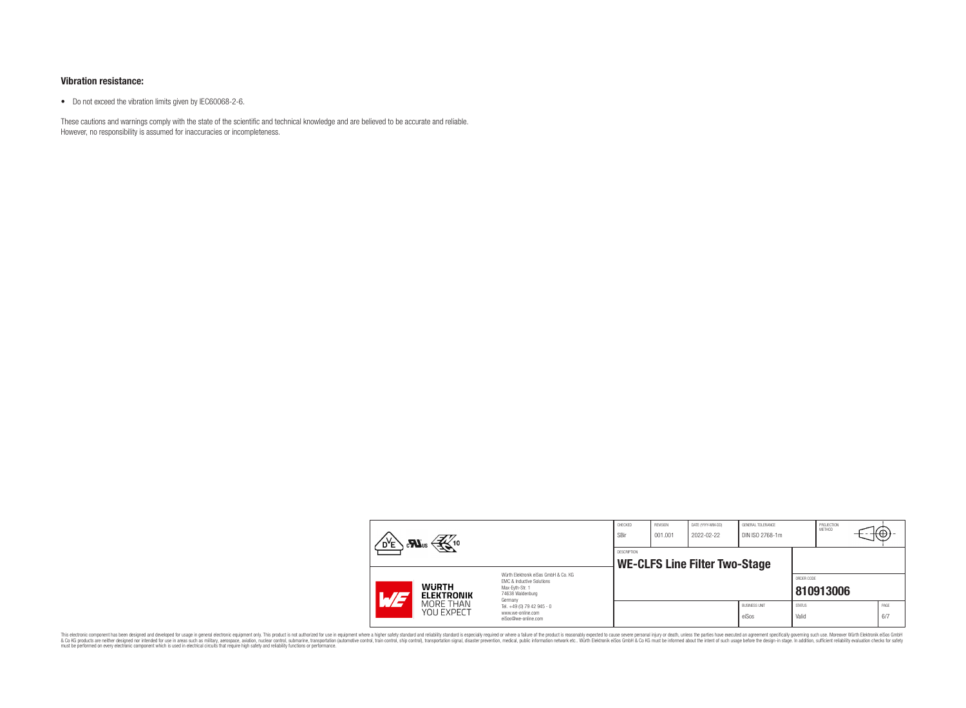## **Vibration resistance:**

• Do not exceed the vibration limits given by IEC60068-2-6.

These cautions and warnings comply with the state of the scientific and technical knowledge and are believed to be accurate and reliable. However, no responsibility is assumed for inaccuracies or incompleteness.

| $\mathbf{r}$                                     |                         |                                                                                                                     | CHECKED<br>SBir | REVISION<br>001.001 | DATE (YYYY-MM-DD)<br>2022-02-22 | GENERAL TOLERANCE<br>DIN ISO 2768-1m |                        | PROJECTION<br><b>METHOD</b> | ťΦ          |
|--------------------------------------------------|-------------------------|---------------------------------------------------------------------------------------------------------------------|-----------------|---------------------|---------------------------------|--------------------------------------|------------------------|-----------------------------|-------------|
|                                                  |                         | <b>DESCRIPTION</b><br><b>WE-CLFS Line Filter Two-Stage</b>                                                          |                 |                     |                                 |                                      |                        |                             |             |
| <b>WURTH</b><br><i>. 13</i><br><b>ELEKTRONIK</b> |                         | Würth Flektronik eiSos GmbH & Co. KG<br>FMC & Inductive Solutions<br>Max-Evth-Str. 1<br>74638 Waldenburg<br>Germany |                 |                     |                                 |                                      | ORDER CODE             | 810913006                   |             |
|                                                  | MORE THAN<br>YOU EXPECT | Tel. +49 (0) 79 42 945 - 0<br>www.we-online.com<br>eiSos@we-online.com                                              |                 |                     |                                 | <b>BUSINESS UNIT</b><br>eiSos        | <b>STATUS</b><br>Valid |                             | PAGE<br>6/7 |

This electronic component has been designed and developed for usage in general electronic equipment only. This product is not authorized for subserved requipment where a higher selection equipment where a higher selection